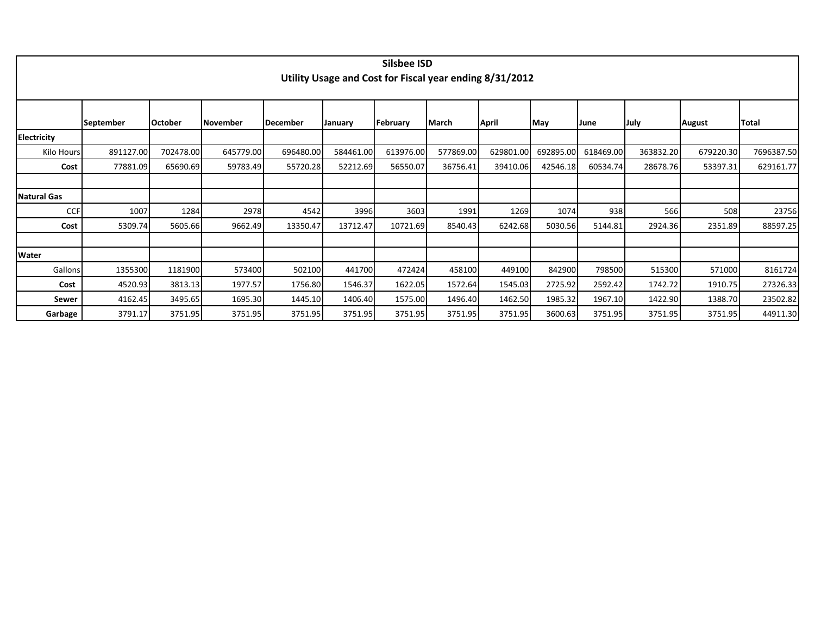|                    | Silsbee ISD<br>Utility Usage and Cost for Fiscal year ending 8/31/2012 |                |                 |                  |           |           |           |           |           |           |           |               |              |  |  |
|--------------------|------------------------------------------------------------------------|----------------|-----------------|------------------|-----------|-----------|-----------|-----------|-----------|-----------|-----------|---------------|--------------|--|--|
|                    | <b>September</b>                                                       | <b>October</b> | <b>November</b> | <b>IDecember</b> | January   | February  | March     | April     | May       | June      | July      | <b>August</b> | <b>Total</b> |  |  |
| <b>Electricity</b> |                                                                        |                |                 |                  |           |           |           |           |           |           |           |               |              |  |  |
| Kilo Hours         | 891127.00                                                              | 702478.00      | 645779.00       | 696480.00        | 584461.00 | 613976.00 | 577869.00 | 629801.00 | 692895.00 | 618469.00 | 363832.20 | 679220.30     | 7696387.50   |  |  |
| Cost               | 77881.09                                                               | 65690.69       | 59783.49        | 55720.28         | 52212.69  | 56550.07  | 36756.41  | 39410.06  | 42546.18  | 60534.74  | 28678.76  | 53397.31      | 629161.77    |  |  |
|                    |                                                                        |                |                 |                  |           |           |           |           |           |           |           |               |              |  |  |
| <b>Natural Gas</b> |                                                                        |                |                 |                  |           |           |           |           |           |           |           |               |              |  |  |
| <b>CCF</b>         | 1007                                                                   | 1284           | 2978            | 4542             | 3996      | 3603      | 1991      | 1269      | 1074      | 938       | 566       | 508           | 23756        |  |  |
| Cost               | 5309.74                                                                | 5605.66        | 9662.49         | 13350.47         | 13712.47  | 10721.69  | 8540.43   | 6242.68   | 5030.56   | 5144.81   | 2924.36   | 2351.89       | 88597.25     |  |  |
|                    |                                                                        |                |                 |                  |           |           |           |           |           |           |           |               |              |  |  |
| Water              |                                                                        |                |                 |                  |           |           |           |           |           |           |           |               |              |  |  |
| Gallons            | 1355300                                                                | 1181900        | 573400          | 502100           | 441700    | 472424    | 458100    | 449100    | 842900    | 798500    | 515300    | 571000        | 8161724      |  |  |
| Cost               | 4520.93                                                                | 3813.13        | 1977.57         | 1756.80          | 1546.37   | 1622.05   | 1572.64   | 1545.03   | 2725.92   | 2592.42   | 1742.72   | 1910.75       | 27326.33     |  |  |
| Sewer              | 4162.45                                                                | 3495.65        | 1695.30         | 1445.10          | 1406.40   | 1575.00   | 1496.40   | 1462.50   | 1985.32   | 1967.10   | 1422.90   | 1388.70       | 23502.82     |  |  |
| Garbage            | 3791.17                                                                | 3751.95        | 3751.95         | 3751.95          | 3751.95   | 3751.95   | 3751.95   | 3751.95   | 3600.63   | 3751.95   | 3751.95   | 3751.95       | 44911.30     |  |  |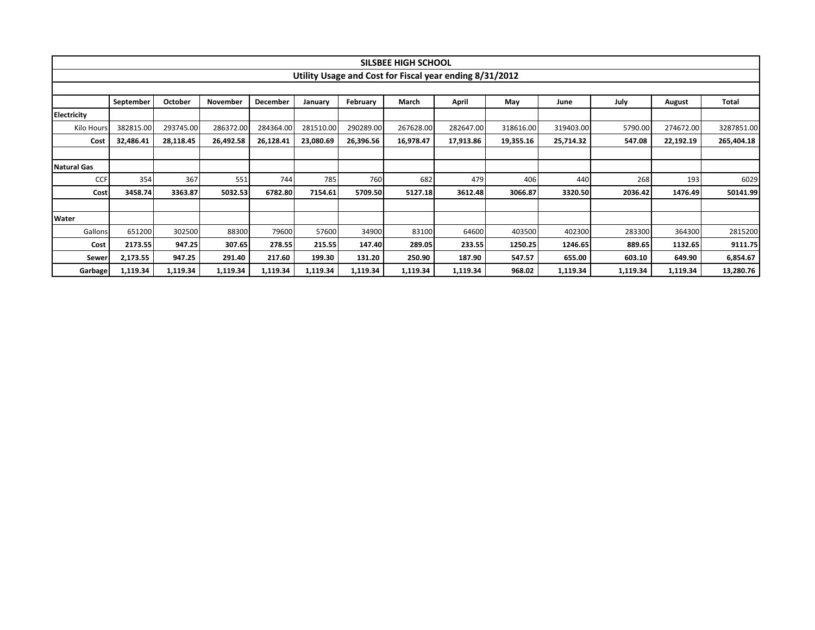|                    |           |           |           |           |           |           | SILSBEE HIGH SCHOOL                                     |           |           |           |          |               |            |  |
|--------------------|-----------|-----------|-----------|-----------|-----------|-----------|---------------------------------------------------------|-----------|-----------|-----------|----------|---------------|------------|--|
|                    |           |           |           |           |           |           | Utility Usage and Cost for Fiscal year ending 8/31/2012 |           |           |           |          |               |            |  |
|                    |           |           |           |           |           |           |                                                         |           |           |           |          |               |            |  |
|                    | September | October   | November  | December  | January   | February  | March                                                   | April     | May       | June      | July     | <b>August</b> | Total      |  |
| <b>Electricity</b> |           |           |           |           |           |           |                                                         |           |           |           |          |               |            |  |
| Kilo Hours         | 382815.00 | 293745.00 | 286372.00 | 284364.00 | 281510.00 | 290289.00 | 267628.00                                               | 282647.00 | 318616.00 | 319403.00 | 5790.00  | 274672.00     | 3287851.00 |  |
| Cost               | 32,486.41 | 28,118.45 | 26,492.58 | 26,128.41 | 23,080.69 | 26,396.56 | 16,978.47                                               | 17,913.86 | 19,355.16 | 25,714.32 | 547.08   | 22,192.19     | 265,404.18 |  |
|                    |           |           |           |           |           |           |                                                         |           |           |           |          |               |            |  |
| <b>Natural Gas</b> |           |           |           |           |           |           |                                                         |           |           |           |          |               |            |  |
| <b>CCF</b>         | 354       | 367       | 551       | 744       | 785       | 760       | 682                                                     | 479       | 406       | 440       | 268      | 193           | 6029       |  |
| <b>Cost</b>        | 3458.74   | 3363.87   | 5032.53   | 6782.80   | 7154.61   | 5709.50   | 5127.18                                                 | 3612.48   | 3066.87   | 3320.50   | 2036.42  | 1476.49       | 50141.99   |  |
|                    |           |           |           |           |           |           |                                                         |           |           |           |          |               |            |  |
| <b>Water</b>       |           |           |           |           |           |           |                                                         |           |           |           |          |               |            |  |
| Gallons            | 651200    | 302500    | 88300     | 79600     | 57600     | 34900     | 83100                                                   | 64600     | 403500    | 402300    | 283300   | 364300        | 2815200    |  |
| Cost               | 2173.55   | 947.25    | 307.65    | 278.55    | 215.55    | 147.40    | 289.05                                                  | 233.55    | 1250.25   | 1246.65   | 889.65   | 1132.65       | 9111.75    |  |
| Sewer              | 2,173.55  | 947.25    | 291.40    | 217.60    | 199.30    | 131.20    | 250.90                                                  | 187.90    | 547.57    | 655.00    | 603.10   | 649.90        | 6,854.67   |  |
| <b>Garbage</b>     | 1,119.34  | 1,119.34  | 1,119.34  | 1,119.34  | 1,119.34  | 1,119.34  | 1,119.34                                                | 1,119.34  | 968.02    | 1,119.34  | 1,119.34 | 1,119.34      | 13,280.76  |  |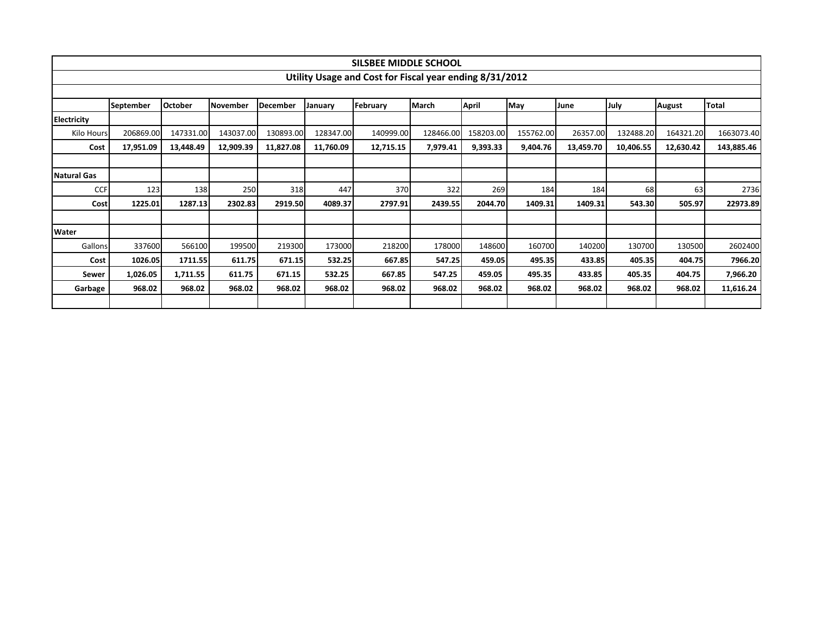|                    |                                                         |                |                 |                 |           | SILSBEE MIDDLE SCHOOL |              |           |           |           |           |               |              |  |  |
|--------------------|---------------------------------------------------------|----------------|-----------------|-----------------|-----------|-----------------------|--------------|-----------|-----------|-----------|-----------|---------------|--------------|--|--|
|                    | Utility Usage and Cost for Fiscal year ending 8/31/2012 |                |                 |                 |           |                       |              |           |           |           |           |               |              |  |  |
|                    |                                                         |                |                 |                 |           |                       |              |           |           |           |           |               |              |  |  |
|                    | September                                               | <b>October</b> | <b>November</b> | <b>December</b> | January   | February              | <b>March</b> | April     | May       | June      | July      | <b>August</b> | <b>Total</b> |  |  |
| <b>Electricity</b> |                                                         |                |                 |                 |           |                       |              |           |           |           |           |               |              |  |  |
| Kilo Hours         | 206869.00                                               | 147331.00      | 143037.00       | 130893.00       | 128347.00 | 140999.00             | 128466.00    | 158203.00 | 155762.00 | 26357.00  | 132488.20 | 164321.20     | 1663073.40   |  |  |
| Cost               | 17,951.09                                               | 13,448.49      | 12,909.39       | 11,827.08       | 11,760.09 | 12,715.15             | 7,979.41     | 9,393.33  | 9,404.76  | 13,459.70 | 10,406.55 | 12,630.42     | 143,885.46   |  |  |
|                    |                                                         |                |                 |                 |           |                       |              |           |           |           |           |               |              |  |  |
| <b>Natural Gas</b> |                                                         |                |                 |                 |           |                       |              |           |           |           |           |               |              |  |  |
| <b>CCF</b>         | 123                                                     | 138            | 250             | 318             | 447       | 370                   | 322          | 269       | 184       | 184       | 68        | 63            | 2736         |  |  |
| Cost               | 1225.01                                                 | 1287.13        | 2302.83         | 2919.50         | 4089.37   | 2797.91               | 2439.55      | 2044.70   | 1409.31   | 1409.31   | 543.30    | 505.97        | 22973.89     |  |  |
|                    |                                                         |                |                 |                 |           |                       |              |           |           |           |           |               |              |  |  |
| <b>Water</b>       |                                                         |                |                 |                 |           |                       |              |           |           |           |           |               |              |  |  |
| Gallons            | 337600                                                  | 566100         | 199500          | 219300          | 173000    | 218200                | 178000       | 148600    | 160700    | 140200    | 130700    | 130500        | 2602400      |  |  |
| Cost               | 1026.05                                                 | 1711.55        | 611.75          | 671.15          | 532.25    | 667.85                | 547.25       | 459.05    | 495.35    | 433.85    | 405.35    | 404.75        | 7966.20      |  |  |
| <b>Sewer</b>       | 1,026.05                                                | 1,711.55       | 611.75          | 671.15          | 532.25    | 667.85                | 547.25       | 459.05    | 495.35    | 433.85    | 405.35    | 404.75        | 7,966.20     |  |  |
| Garbage            | 968.02                                                  | 968.02         | 968.02          | 968.02          | 968.02    | 968.02                | 968.02       | 968.02    | 968.02    | 968.02    | 968.02    | 968.02        | 11,616.24    |  |  |
|                    |                                                         |                |                 |                 |           |                       |              |           |           |           |           |               |              |  |  |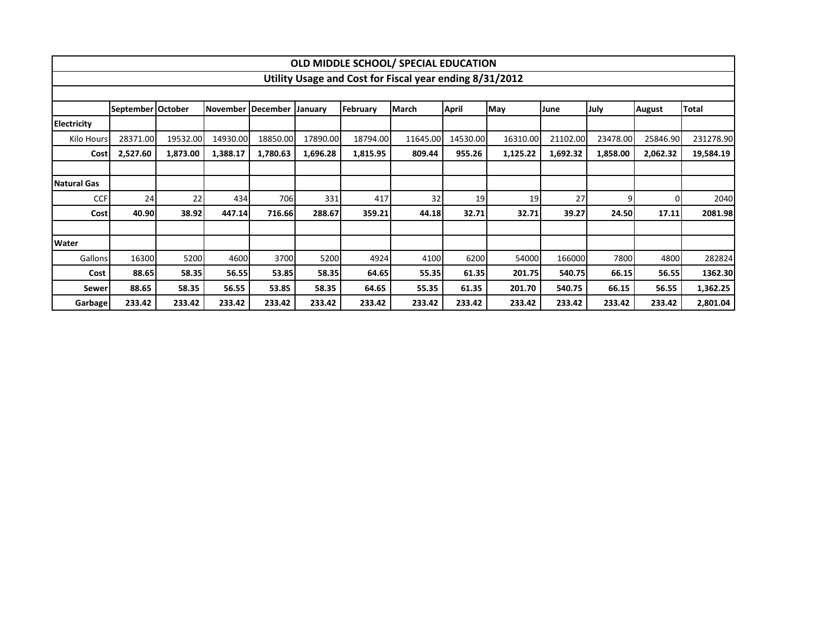|                    |                                                         |          |                     |          |          |          | OLD MIDDLE SCHOOL/ SPECIAL EDUCATION |              |          |          |          |               |           |  |  |
|--------------------|---------------------------------------------------------|----------|---------------------|----------|----------|----------|--------------------------------------|--------------|----------|----------|----------|---------------|-----------|--|--|
|                    | Utility Usage and Cost for Fiscal year ending 8/31/2012 |          |                     |          |          |          |                                      |              |          |          |          |               |           |  |  |
|                    |                                                         |          |                     |          |          |          |                                      |              |          |          |          |               |           |  |  |
|                    | September   October                                     |          | November   December |          | January  | February | <b>IMarch</b>                        | <b>April</b> | May      | June     | July     | <b>August</b> | Total     |  |  |
| Electricity        |                                                         |          |                     |          |          |          |                                      |              |          |          |          |               |           |  |  |
| Kilo Hours         | 28371.00                                                | 19532.00 | 14930.00            | 18850.00 | 17890.00 | 18794.00 | 11645.00                             | 14530.00     | 16310.00 | 21102.00 | 23478.00 | 25846.90      | 231278.90 |  |  |
| Cost               | 2,527.60                                                | 1,873.00 | 1,388.17            | 1,780.63 | 1,696.28 | 1,815.95 | 809.44                               | 955.26       | 1,125.22 | 1,692.32 | 1,858.00 | 2,062.32      | 19,584.19 |  |  |
|                    |                                                         |          |                     |          |          |          |                                      |              |          |          |          |               |           |  |  |
| <b>Natural Gas</b> |                                                         |          |                     |          |          |          |                                      |              |          |          |          |               |           |  |  |
| <b>CCF</b>         | 24                                                      | 22       | 434                 | 706      | 331      | 417      | 32                                   | 19           | 19       | 27       | q        |               | 2040      |  |  |
| Cost               | 40.90                                                   | 38.92    | 447.14              | 716.66   | 288.67   | 359.21   | 44.18                                | 32.71        | 32.71    | 39.27    | 24.50    | 17.11         | 2081.98   |  |  |
|                    |                                                         |          |                     |          |          |          |                                      |              |          |          |          |               |           |  |  |
| Water              |                                                         |          |                     |          |          |          |                                      |              |          |          |          |               |           |  |  |
| Gallons            | 16300                                                   | 5200     | 4600                | 3700     | 5200     | 4924     | 4100                                 | 6200         | 54000    | 166000   | 7800     | 4800          | 282824    |  |  |
| Cost               | 88.65                                                   | 58.35    | 56.55               | 53.85    | 58.35    | 64.65    | 55.35                                | 61.35        | 201.75   | 540.75   | 66.15    | 56.55         | 1362.30   |  |  |
| Sewer              | 88.65                                                   | 58.35    | 56.55               | 53.85    | 58.35    | 64.65    | 55.35                                | 61.35        | 201.70   | 540.75   | 66.15    | 56.55         | 1,362.25  |  |  |
| Garbage            | 233.42                                                  | 233.42   | 233.42              | 233.42   | 233.42   | 233.42   | 233.42                               | 233.42       | 233.42   | 233.42   | 233.42   | 233.42        | 2,801.04  |  |  |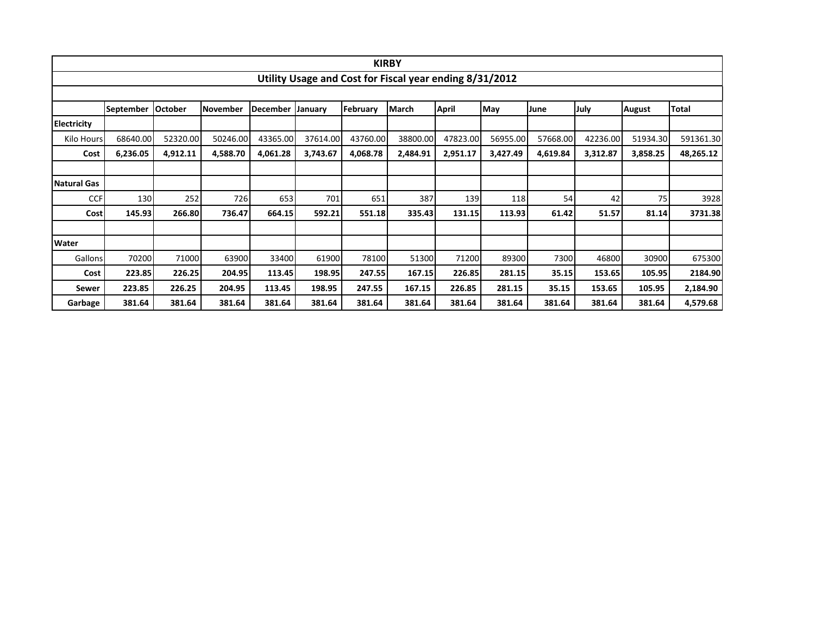|                    |           |                |                 |                 |                |          | <b>KIRBY</b>                                            |          |          |          |          |               |           |  |  |
|--------------------|-----------|----------------|-----------------|-----------------|----------------|----------|---------------------------------------------------------|----------|----------|----------|----------|---------------|-----------|--|--|
|                    |           |                |                 |                 |                |          | Utility Usage and Cost for Fiscal year ending 8/31/2012 |          |          |          |          |               |           |  |  |
|                    |           |                |                 |                 |                |          |                                                         |          |          |          |          |               |           |  |  |
|                    | September | <b>October</b> | <b>November</b> | <b>December</b> | <b>January</b> | February | March                                                   | April    | May      | June     | July     | <b>August</b> | Total     |  |  |
| <b>Electricity</b> |           |                |                 |                 |                |          |                                                         |          |          |          |          |               |           |  |  |
| Kilo Hours         | 68640.00  | 52320.00       | 50246.00        | 43365.00        | 37614.00       | 43760.00 | 38800.00                                                | 47823.00 | 56955.00 | 57668.00 | 42236.00 | 51934.30      | 591361.30 |  |  |
| Cost               | 6,236.05  | 4,912.11       | 4,588.70        | 4,061.28        | 3,743.67       | 4,068.78 | 2,484.91                                                | 2,951.17 | 3,427.49 | 4,619.84 | 3,312.87 | 3,858.25      | 48,265.12 |  |  |
|                    |           |                |                 |                 |                |          |                                                         |          |          |          |          |               |           |  |  |
| <b>Natural Gas</b> |           |                |                 |                 |                |          |                                                         |          |          |          |          |               |           |  |  |
| <b>CCF</b>         | 130       | 252            | 726             | 653             | 701            | 651      | 387                                                     | 139      | 118      | 54       | 42       | 75            | 3928      |  |  |
| <b>Cost</b>        | 145.93    | 266.80         | 736.47          | 664.15          | 592.21         | 551.18   | 335.43                                                  | 131.15   | 113.93   | 61.42    | 51.57    | 81.14         | 3731.38   |  |  |
|                    |           |                |                 |                 |                |          |                                                         |          |          |          |          |               |           |  |  |
| Water              |           |                |                 |                 |                |          |                                                         |          |          |          |          |               |           |  |  |
| <b>Gallons</b>     | 70200     | 71000          | 63900           | 33400           | 61900          | 78100    | 51300                                                   | 71200    | 89300    | 7300     | 46800    | 30900         | 675300    |  |  |
| Cost               | 223.85    | 226.25         | 204.95          | 113.45          | 198.95         | 247.55   | 167.15                                                  | 226.85   | 281.15   | 35.15    | 153.65   | 105.95        | 2184.90   |  |  |
| Sewer              | 223.85    | 226.25         | 204.95          | 113.45          | 198.95         | 247.55   | 167.15                                                  | 226.85   | 281.15   | 35.15    | 153.65   | 105.95        | 2,184.90  |  |  |
| Garbage            | 381.64    | 381.64         | 381.64          | 381.64          | 381.64         | 381.64   | 381.64                                                  | 381.64   | 381.64   | 381.64   | 381.64   | 381.64        | 4,579.68  |  |  |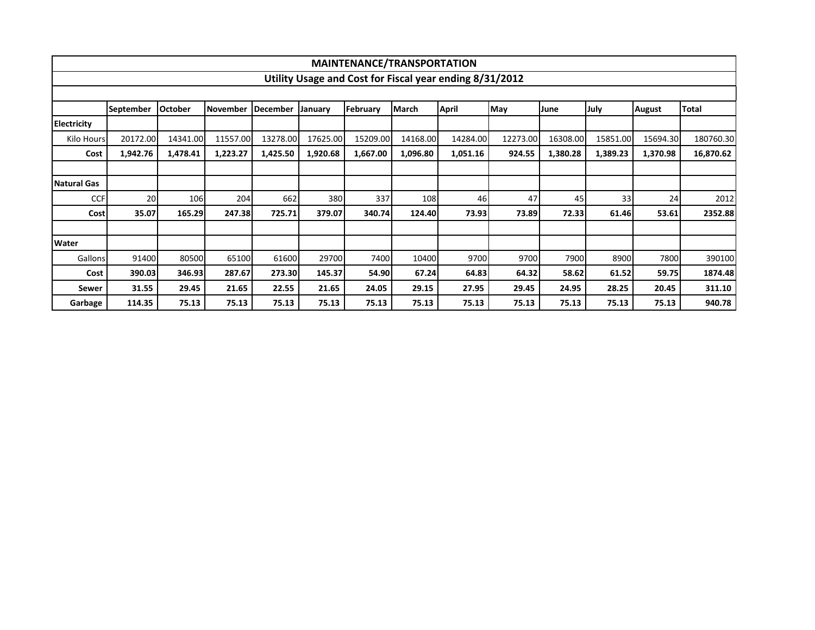|                    |                  |          |                  |                 |                | MAINTENANCE/TRANSPORTATION |              |                                                         |          |          |          |               |           |
|--------------------|------------------|----------|------------------|-----------------|----------------|----------------------------|--------------|---------------------------------------------------------|----------|----------|----------|---------------|-----------|
|                    |                  |          |                  |                 |                |                            |              | Utility Usage and Cost for Fiscal year ending 8/31/2012 |          |          |          |               |           |
|                    |                  |          |                  |                 |                |                            |              |                                                         |          |          |          |               |           |
|                    | <b>September</b> | October  | <b>INovember</b> | <b>December</b> | <b>January</b> | February                   | <b>March</b> | <b>April</b>                                            | May      | June     | July     | <b>August</b> | Total     |
| <b>Electricity</b> |                  |          |                  |                 |                |                            |              |                                                         |          |          |          |               |           |
| Kilo Hours         | 20172.00         | 14341.00 | 11557.00         | 13278.00        | 17625.00       | 15209.00                   | 14168.00     | 14284.00                                                | 12273.00 | 16308.00 | 15851.00 | 15694.30      | 180760.30 |
| Cost               | 1,942.76         | 1,478.41 | 1,223.27         | 1,425.50        | 1,920.68       | 1,667.00                   | 1,096.80     | 1,051.16                                                | 924.55   | 1,380.28 | 1,389.23 | 1,370.98      | 16,870.62 |
|                    |                  |          |                  |                 |                |                            |              |                                                         |          |          |          |               |           |
| <b>Natural Gas</b> |                  |          |                  |                 |                |                            |              |                                                         |          |          |          |               |           |
| <b>CCF</b>         | 20               | 106      | 204              | 662             | 380            | 337                        | 108          | 46                                                      | 47       | 45       | 33       | 24            | 2012      |
| <b>Cost</b>        | 35.07            | 165.29   | 247.38           | 725.71          | 379.07         | 340.74                     | 124.40       | 73.93                                                   | 73.89    | 72.33    | 61.46    | 53.61         | 2352.88   |
|                    |                  |          |                  |                 |                |                            |              |                                                         |          |          |          |               |           |
| <b>Water</b>       |                  |          |                  |                 |                |                            |              |                                                         |          |          |          |               |           |
| Gallons            | 91400            | 80500    | 65100            | 61600           | 29700          | 7400                       | 10400        | 9700                                                    | 9700     | 7900     | 8900     | 7800          | 390100    |
| Cost               | 390.03           | 346.93   | 287.67           | 273.30          | 145.37         | 54.90                      | 67.24        | 64.83                                                   | 64.32    | 58.62    | 61.52    | 59.75         | 1874.48   |
| Sewer              | 31.55            | 29.45    | 21.65            | 22.55           | 21.65          | 24.05                      | 29.15        | 27.95                                                   | 29.45    | 24.95    | 28.25    | 20.45         | 311.10    |
| Garbage            | 114.35           | 75.13    | 75.13            | 75.13           | 75.13          | 75.13                      | 75.13        | 75.13                                                   | 75.13    | 75.13    | 75.13    | 75.13         | 940.78    |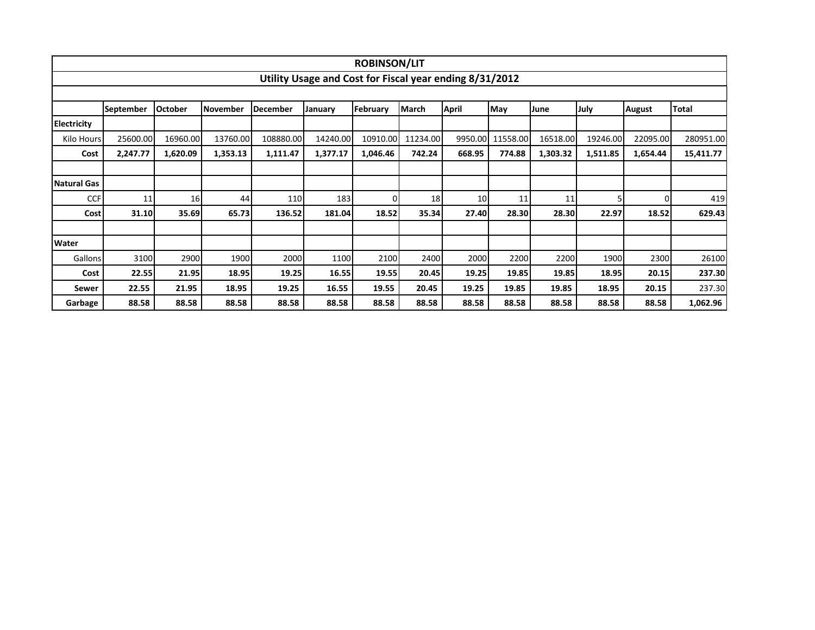|                    |                  |                |                 |           |                                                         | <b>ROBINSON/LIT</b> |          |                 |                  |          |          |               |              |
|--------------------|------------------|----------------|-----------------|-----------|---------------------------------------------------------|---------------------|----------|-----------------|------------------|----------|----------|---------------|--------------|
|                    |                  |                |                 |           | Utility Usage and Cost for Fiscal year ending 8/31/2012 |                     |          |                 |                  |          |          |               |              |
|                    |                  |                |                 |           |                                                         |                     |          |                 |                  |          |          |               |              |
|                    | <b>September</b> | <b>October</b> | <b>November</b> | December  | January                                                 | February            | March    | <b>April</b>    | May              | June     | July     | <b>August</b> | <b>Total</b> |
| <b>Electricity</b> |                  |                |                 |           |                                                         |                     |          |                 |                  |          |          |               |              |
| Kilo Hours         | 25600.00         | 16960.00       | 13760.00        | 108880.00 | 14240.00                                                | 10910.00            | 11234.00 |                 | 9950.00 11558.00 | 16518.00 | 19246.00 | 22095.00      | 280951.00    |
| Cost               | 2,247.77         | 1,620.09       | 1,353.13        | 1,111.47  | 1,377.17                                                | 1,046.46            | 742.24   | 668.95          | 774.88           | 1,303.32 | 1,511.85 | 1,654.44      | 15,411.77    |
|                    |                  |                |                 |           |                                                         |                     |          |                 |                  |          |          |               |              |
| <b>Natural Gas</b> |                  |                |                 |           |                                                         |                     |          |                 |                  |          |          |               |              |
| <b>CCF</b>         | 11               | 16             | 44              | 110       | 183                                                     | 0                   | 18       | 10 <sub>l</sub> | 11               | 11       |          |               | 419          |
| Cost               | 31.10            | 35.69          | 65.73           | 136.52    | 181.04                                                  | 18.52               | 35.34    | 27.40           | 28.30            | 28.30    | 22.97    | 18.52         | 629.43       |
|                    |                  |                |                 |           |                                                         |                     |          |                 |                  |          |          |               |              |
| <b>Water</b>       |                  |                |                 |           |                                                         |                     |          |                 |                  |          |          |               |              |
| Gallons            | 3100             | 2900           | 1900            | 2000      | 1100                                                    | 2100                | 2400     | 2000            | 2200             | 2200     | 1900     | 2300          | 26100        |
| Cost               | 22.55            | 21.95          | 18.95           | 19.25     | 16.55                                                   | 19.55               | 20.45    | 19.25           | 19.85            | 19.85    | 18.95    | 20.15         | 237.30       |
| Sewer              | 22.55            | 21.95          | 18.95           | 19.25     | 16.55                                                   | 19.55               | 20.45    | 19.25           | 19.85            | 19.85    | 18.95    | 20.15         | 237.30       |
| Garbage            | 88.58            | 88.58          | 88.58           | 88.58     | 88.58                                                   | 88.58               | 88.58    | 88.58           | 88.58            | 88.58    | 88.58    | 88.58         | 1,062.96     |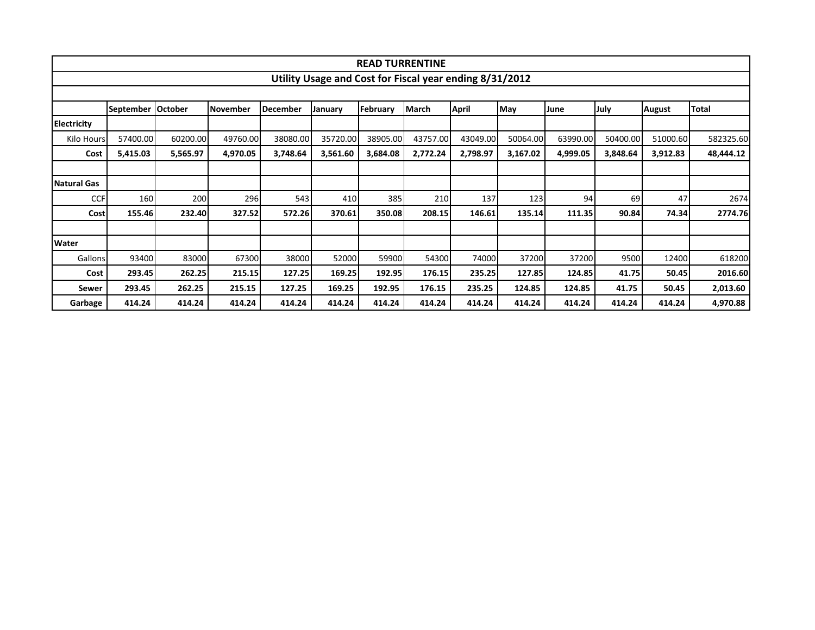|                    |                     |          |          |          |                                                         | <b>READ TURRENTINE</b> |              |              |          |          |          |          |           |  |  |
|--------------------|---------------------|----------|----------|----------|---------------------------------------------------------|------------------------|--------------|--------------|----------|----------|----------|----------|-----------|--|--|
|                    |                     |          |          |          | Utility Usage and Cost for Fiscal year ending 8/31/2012 |                        |              |              |          |          |          |          |           |  |  |
|                    |                     |          |          |          |                                                         |                        |              |              |          |          |          |          |           |  |  |
|                    | September   October |          | November | December | January                                                 | February               | <b>March</b> | <b>April</b> | May      | June     | July     | August   | Total     |  |  |
| <b>Electricity</b> |                     |          |          |          |                                                         |                        |              |              |          |          |          |          |           |  |  |
| Kilo Hours         | 57400.00            | 60200.00 | 49760.00 | 38080.00 | 35720.00                                                | 38905.00               | 43757.00     | 43049.00     | 50064.00 | 63990.00 | 50400.00 | 51000.60 | 582325.60 |  |  |
| Cost               | 5,415.03            | 5,565.97 | 4,970.05 | 3,748.64 | 3,561.60                                                | 3,684.08               | 2,772.24     | 2,798.97     | 3,167.02 | 4,999.05 | 3,848.64 | 3,912.83 | 48,444.12 |  |  |
|                    |                     |          |          |          |                                                         |                        |              |              |          |          |          |          |           |  |  |
| <b>Natural Gas</b> |                     |          |          |          |                                                         |                        |              |              |          |          |          |          |           |  |  |
| <b>CCF</b>         | 160                 | 200      | 296      | 543      | 410                                                     | 385                    | 210          | 137          | 123      | 94       | 69       | 47       | 2674      |  |  |
| <b>Cost</b>        | 155.46              | 232.40   | 327.52   | 572.26   | 370.61                                                  | 350.08                 | 208.15       | 146.61       | 135.14   | 111.35   | 90.84    | 74.34    | 2774.76   |  |  |
|                    |                     |          |          |          |                                                         |                        |              |              |          |          |          |          |           |  |  |
| Water              |                     |          |          |          |                                                         |                        |              |              |          |          |          |          |           |  |  |
| Gallons            | 93400               | 83000    | 67300    | 38000    | 52000                                                   | 59900                  | 54300        | 74000        | 37200    | 37200    | 9500     | 12400    | 618200    |  |  |
| Cost               | 293.45              | 262.25   | 215.15   | 127.25   | 169.25                                                  | 192.95                 | 176.15       | 235.25       | 127.85   | 124.85   | 41.75    | 50.45    | 2016.60   |  |  |
| Sewer              | 293.45              | 262.25   | 215.15   | 127.25   | 169.25                                                  | 192.95                 | 176.15       | 235.25       | 124.85   | 124.85   | 41.75    | 50.45    | 2,013.60  |  |  |
| Garbage            | 414.24              | 414.24   | 414.24   | 414.24   | 414.24                                                  | 414.24                 | 414.24       | 414.24       | 414.24   | 414.24   | 414.24   | 414.24   | 4,970.88  |  |  |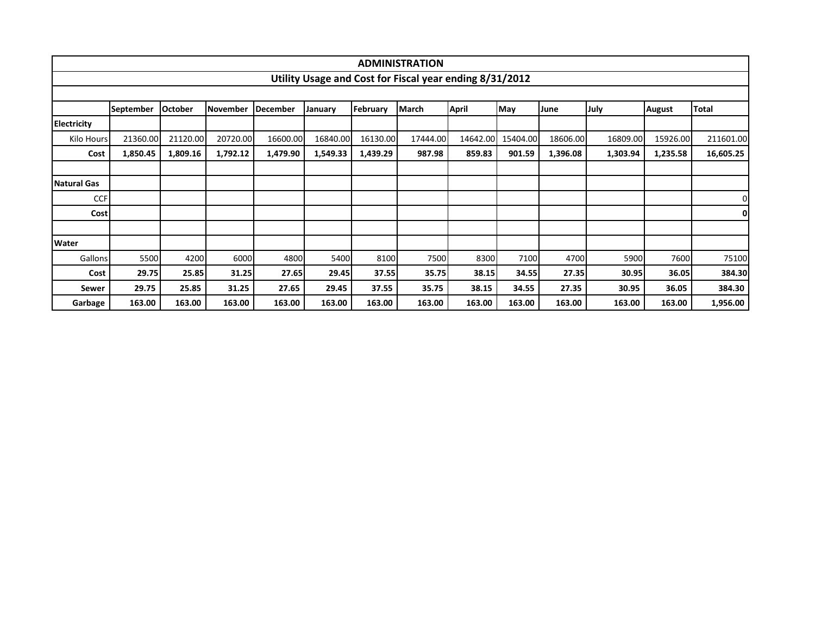|                    |                  |                |            |                 |          |          | <b>ADMINISTRATION</b>                                   |              |            |          |          |               |                |  |
|--------------------|------------------|----------------|------------|-----------------|----------|----------|---------------------------------------------------------|--------------|------------|----------|----------|---------------|----------------|--|
|                    |                  |                |            |                 |          |          | Utility Usage and Cost for Fiscal year ending 8/31/2012 |              |            |          |          |               |                |  |
|                    |                  |                |            |                 |          |          |                                                         |              |            |          |          |               |                |  |
|                    | <b>September</b> | <b>October</b> | l November | <b>December</b> | January  | February | <b>March</b>                                            | <b>April</b> | <b>May</b> | June     | July     | <b>August</b> | Total          |  |
| <b>Electricity</b> |                  |                |            |                 |          |          |                                                         |              |            |          |          |               |                |  |
| Kilo Hours         | 21360.00         | 21120.00       | 20720.00   | 16600.00        | 16840.00 | 16130.00 | 17444.00                                                | 14642.00     | 15404.00   | 18606.00 | 16809.00 | 15926.00      | 211601.00      |  |
| Cost               | 1,850.45         | 1,809.16       | 1,792.12   | 1,479.90        | 1,549.33 | 1,439.29 | 987.98                                                  | 859.83       | 901.59     | 1,396.08 | 1,303.94 | 1,235.58      | 16,605.25      |  |
|                    |                  |                |            |                 |          |          |                                                         |              |            |          |          |               |                |  |
| Natural Gas        |                  |                |            |                 |          |          |                                                         |              |            |          |          |               |                |  |
| <b>CCF</b>         |                  |                |            |                 |          |          |                                                         |              |            |          |          |               | $\overline{0}$ |  |
| Cost               |                  |                |            |                 |          |          |                                                         |              |            |          |          |               | 0              |  |
|                    |                  |                |            |                 |          |          |                                                         |              |            |          |          |               |                |  |
| <b>Water</b>       |                  |                |            |                 |          |          |                                                         |              |            |          |          |               |                |  |
| Gallons            | 5500             | 4200           | 6000       | 4800            | 5400     | 8100     | 7500                                                    | 8300         | 7100       | 4700     | 5900     | 7600          | 75100          |  |
| Cost               | 29.75            | 25.85          | 31.25      | 27.65           | 29.45    | 37.55    | 35.75                                                   | 38.15        | 34.55      | 27.35    | 30.95    | 36.05         | 384.30         |  |
| Sewer              | 29.75            | 25.85          | 31.25      | 27.65           | 29.45    | 37.55    | 35.75                                                   | 38.15        | 34.55      | 27.35    | 30.95    | 36.05         | 384.30         |  |
| Garbage            | 163.00           | 163.00         | 163.00     | 163.00          | 163.00   | 163.00   | 163.00                                                  | 163.00       | 163.00     | 163.00   | 163.00   | 163.00        | 1,956.00       |  |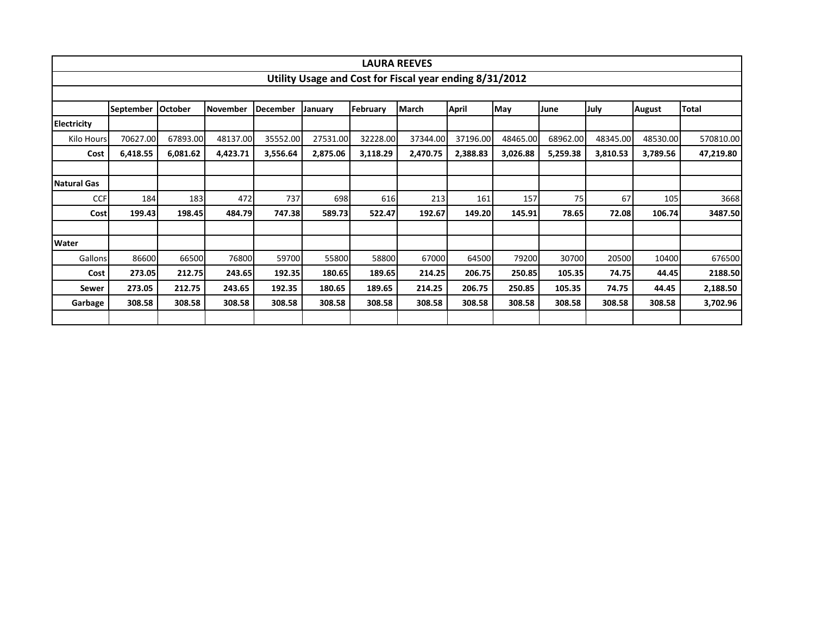|                    |                  |                |                 |          |          |          | <b>LAURA REEVES</b>                                     |              |          |          |          |               |           |  |  |
|--------------------|------------------|----------------|-----------------|----------|----------|----------|---------------------------------------------------------|--------------|----------|----------|----------|---------------|-----------|--|--|
|                    |                  |                |                 |          |          |          | Utility Usage and Cost for Fiscal year ending 8/31/2012 |              |          |          |          |               |           |  |  |
|                    |                  |                |                 |          |          |          |                                                         |              |          |          |          |               |           |  |  |
|                    | <b>September</b> | <b>October</b> | <b>November</b> | December | January  | February | <b>March</b>                                            | <b>April</b> | May      | June     | July     | <b>August</b> | Total     |  |  |
| Electricity        |                  |                |                 |          |          |          |                                                         |              |          |          |          |               |           |  |  |
| Kilo Hours         | 70627.00         | 67893.00       | 48137.00        | 35552.00 | 27531.00 | 32228.00 | 37344.00                                                | 37196.00     | 48465.00 | 68962.00 | 48345.00 | 48530.00      | 570810.00 |  |  |
| Cost               | 6,418.55         | 6,081.62       | 4,423.71        | 3,556.64 | 2,875.06 | 3,118.29 | 2,470.75                                                | 2,388.83     | 3,026.88 | 5,259.38 | 3,810.53 | 3,789.56      | 47,219.80 |  |  |
|                    |                  |                |                 |          |          |          |                                                         |              |          |          |          |               |           |  |  |
| <b>Natural Gas</b> |                  |                |                 |          |          |          |                                                         |              |          |          |          |               |           |  |  |
| <b>CCF</b>         | 184              | 183            | 472             | 737      | 698      | 616      | 213                                                     | 161          | 157      | 75       | 67       | 105           | 3668      |  |  |
| Cost               | 199.43           | 198.45         | 484.79          | 747.38   | 589.73   | 522.47   | 192.67                                                  | 149.20       | 145.91   | 78.65    | 72.08    | 106.74        | 3487.50   |  |  |
|                    |                  |                |                 |          |          |          |                                                         |              |          |          |          |               |           |  |  |
| Water              |                  |                |                 |          |          |          |                                                         |              |          |          |          |               |           |  |  |
| Gallons            | 86600            | 66500          | 76800           | 59700    | 55800    | 58800    | 67000                                                   | 64500        | 79200    | 30700    | 20500    | 10400         | 676500    |  |  |
| Cost               | 273.05           | 212.75         | 243.65          | 192.35   | 180.65   | 189.65   | 214.25                                                  | 206.75       | 250.85   | 105.35   | 74.75    | 44.45         | 2188.50   |  |  |
| <b>Sewer</b>       | 273.05           | 212.75         | 243.65          | 192.35   | 180.65   | 189.65   | 214.25                                                  | 206.75       | 250.85   | 105.35   | 74.75    | 44.45         | 2,188.50  |  |  |
| Garbage            | 308.58           | 308.58         | 308.58          | 308.58   | 308.58   | 308.58   | 308.58                                                  | 308.58       | 308.58   | 308.58   | 308.58   | 308.58        | 3,702.96  |  |  |
|                    |                  |                |                 |          |          |          |                                                         |              |          |          |          |               |           |  |  |